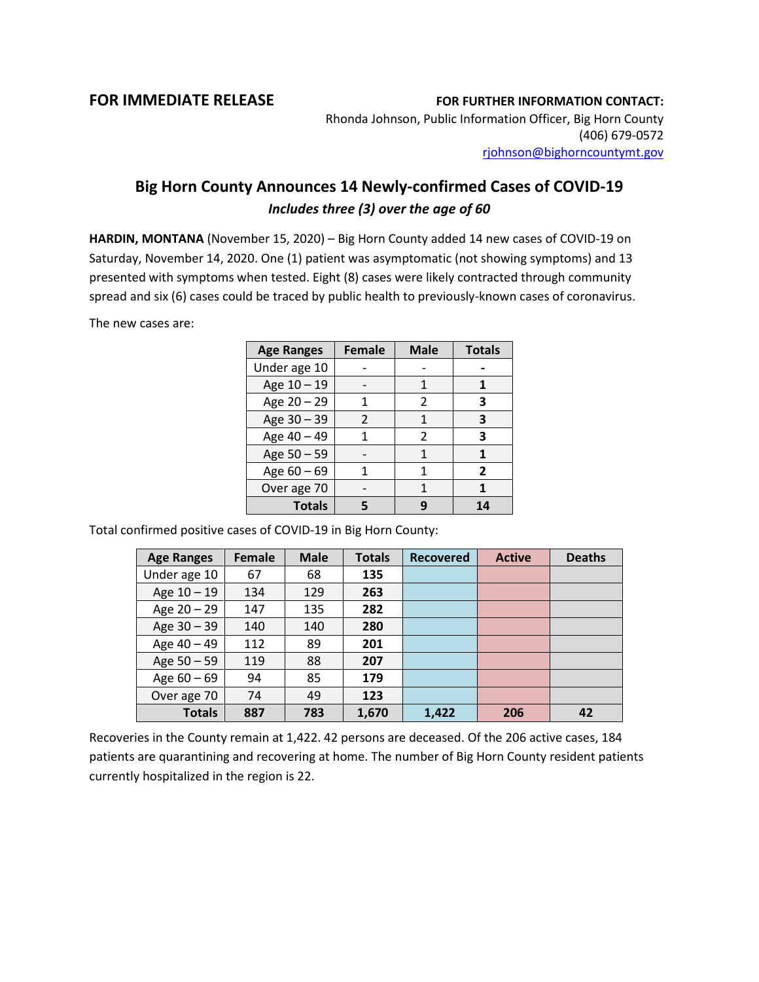## **FOR IMMEDIATE RELEASE FOR FURTHER INFORMATION CONTACT:**

Rhonda Johnson, Public Information Officer, Big Horn County (406) 679-0572 [rjohnson@bighorncountymt.gov](mailto:rjohnson@bighorncountymt.gov)

## **Big Horn County Announces 14 Newly-confirmed Cases of COVID-19** *Includes three (3) over the age of 60*

**HARDIN, MONTANA** (November 15, 2020) – Big Horn County added 14 new cases of COVID-19 on Saturday, November 14, 2020. One (1) patient was asymptomatic (not showing symptoms) and 13 presented with symptoms when tested. Eight (8) cases were likely contracted through community spread and six (6) cases could be traced by public health to previously-known cases of coronavirus.

The new cases are:

| <b>Age Ranges</b> | <b>Female</b> | <b>Male</b> | <b>Totals</b>  |
|-------------------|---------------|-------------|----------------|
| Under age 10      |               |             |                |
| Age 10 - 19       |               |             |                |
| Age 20 - 29       | 1             | 2           | 3              |
| Age 30 - 39       | $\mathcal{P}$ | 1           | 3              |
| Age 40 - 49       |               | 2           | 3              |
| Age 50 - 59       |               |             |                |
| Age $60 - 69$     |               | 1           | $\overline{2}$ |
| Over age 70       |               |             |                |
| <b>Totals</b>     |               |             | 14             |

Total confirmed positive cases of COVID-19 in Big Horn County:

| <b>Age Ranges</b> | <b>Female</b> | <b>Male</b> | <b>Totals</b> | <b>Recovered</b> | <b>Active</b> | <b>Deaths</b> |
|-------------------|---------------|-------------|---------------|------------------|---------------|---------------|
| Under age 10      | 67            | 68          | 135           |                  |               |               |
| Age $10 - 19$     | 134           | 129         | 263           |                  |               |               |
| Age 20 - 29       | 147           | 135         | 282           |                  |               |               |
| Age $30 - 39$     | 140           | 140         | 280           |                  |               |               |
| Age 40 - 49       | 112           | 89          | 201           |                  |               |               |
| Age $50 - 59$     | 119           | 88          | 207           |                  |               |               |
| Age $60 - 69$     | 94            | 85          | 179           |                  |               |               |
| Over age 70       | 74            | 49          | 123           |                  |               |               |
| <b>Totals</b>     | 887           | 783         | 1,670         | 1,422            | 206           | 42            |

Recoveries in the County remain at 1,422. 42 persons are deceased. Of the 206 active cases, 184 patients are quarantining and recovering at home. The number of Big Horn County resident patients currently hospitalized in the region is 22.